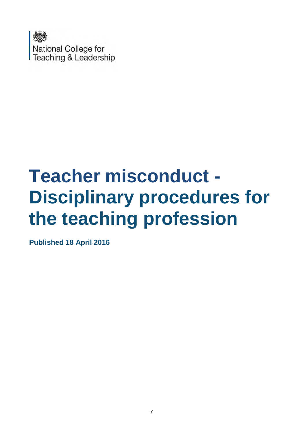

# **Teacher misconduct - Disciplinary procedures for the teaching profession**

**Published 18 April 2016**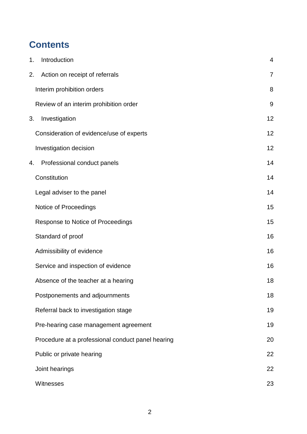# **Contents**

| 1. | Introduction                                      | 4              |
|----|---------------------------------------------------|----------------|
| 2. | Action on receipt of referrals                    | $\overline{7}$ |
|    | Interim prohibition orders                        | 8              |
|    | Review of an interim prohibition order            | 9              |
| 3. | Investigation                                     | 12             |
|    | Consideration of evidence/use of experts          | 12             |
|    | Investigation decision                            | 12             |
| 4. | Professional conduct panels                       | 14             |
|    | Constitution                                      | 14             |
|    | Legal adviser to the panel                        | 14             |
|    | Notice of Proceedings                             | 15             |
|    | Response to Notice of Proceedings                 | 15             |
|    | Standard of proof                                 | 16             |
|    | Admissibility of evidence                         | 16             |
|    | Service and inspection of evidence                | 16             |
|    | Absence of the teacher at a hearing               | 18             |
|    | Postponements and adjournments                    | 18             |
|    | Referral back to investigation stage              | 19             |
|    | Pre-hearing case management agreement             | 19             |
|    | Procedure at a professional conduct panel hearing | 20             |
|    | Public or private hearing                         | 22             |
|    | Joint hearings                                    | 22             |
|    | Witnesses                                         | 23             |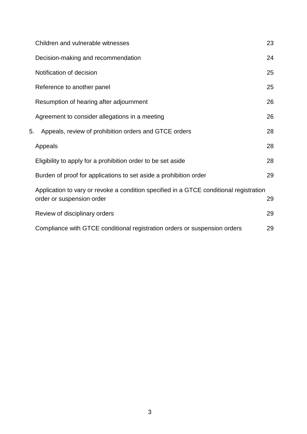|    | Children and vulnerable witnesses                                                                                   | 23 |
|----|---------------------------------------------------------------------------------------------------------------------|----|
|    | Decision-making and recommendation                                                                                  | 24 |
|    | Notification of decision                                                                                            | 25 |
|    | Reference to another panel                                                                                          | 25 |
|    | Resumption of hearing after adjournment                                                                             | 26 |
|    | Agreement to consider allegations in a meeting                                                                      | 26 |
| 5. | Appeals, review of prohibition orders and GTCE orders                                                               | 28 |
|    | Appeals                                                                                                             | 28 |
|    | Eligibility to apply for a prohibition order to be set aside                                                        | 28 |
|    | Burden of proof for applications to set aside a prohibition order                                                   | 29 |
|    | Application to vary or revoke a condition specified in a GTCE conditional registration<br>order or suspension order | 29 |
|    | Review of disciplinary orders                                                                                       | 29 |
|    | Compliance with GTCE conditional registration orders or suspension orders                                           | 29 |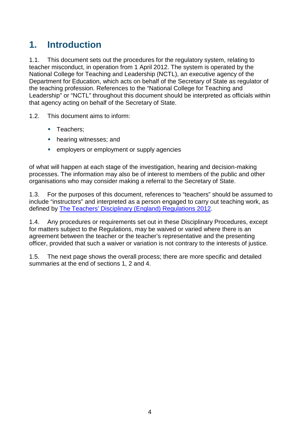# **1. Introduction**

1.1. This document sets out the procedures for the regulatory system, relating to teacher misconduct, in operation from 1 April 2012. The system is operated by the National College for Teaching and Leadership (NCTL), an executive agency of the Department for Education, which acts on behalf of the Secretary of State as regulator of the teaching profession. References to the "National College for Teaching and Leadership" or "NCTL" throughout this document should be interpreted as officials within that agency acting on behalf of the Secretary of State.

1.2. This document aims to inform:

- **Teachers:**
- hearing witnesses: and
- **EXECUTE:** employers or employment or supply agencies

of what will happen at each stage of the investigation, hearing and decision-making processes. The information may also be of interest to members of the public and other organisations who may consider making a referral to the Secretary of State.

1.3. For the purposes of this document, references to "teachers" should be assumed to include "instructors" and interpreted as a person engaged to carry out teaching work, as defined by The Teachers' Disciplinary [\(England\) Regulations](http://www.legislation.gov.uk/uksi/2012/560/made) 2012.

1.4. Any procedures or requirements set out in these Disciplinary Procedures, except for matters subject to the Regulations, may be waived or varied where there is an agreement between the teacher or the teacher's representative and the presenting officer, provided that such a waiver or variation is not contrary to the interests of justice.

1.5. The next page shows the overall process; there are more specific and detailed summaries at the end of sections 1, 2 and 4.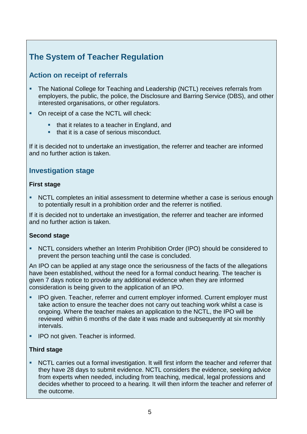# **The System of Teacher Regulation**

#### **Action on receipt of referrals**

- The National College for Teaching and Leadership (NCTL) receives referrals from employers, the public, the police, the Disclosure and Barring Service (DBS), and other interested organisations, or other regulators.
- On receipt of a case the NCTL will check:
	- that it relates to a teacher in England, and
	- **that it is a case of serious misconduct.**

If it is decided not to undertake an investigation, the referrer and teacher are informed and no further action is taken.

#### **Investigation stage**

#### **First stage**

 NCTL completes an initial assessment to determine whether a case is serious enough to potentially result in a prohibition order and the referrer is notified.

If it is decided not to undertake an investigation, the referrer and teacher are informed and no further action is taken.

#### **Second stage**

 NCTL considers whether an Interim Prohibition Order (IPO) should be considered to prevent the person teaching until the case is concluded.

An IPO can be applied at any stage once the seriousness of the facts of the allegations have been established, without the need for a formal conduct hearing. The teacher is given 7 days notice to provide any additional evidence when they are informed consideration is being given to the application of an IPO.

- **IPO given. Teacher, referrer and current employer informed. Current employer must** take action to ensure the teacher does not carry out teaching work whilst a case is ongoing. Where the teacher makes an application to the NCTL, the IPO will be reviewed within 6 months of the date it was made and subsequently at six monthly intervals.
- **IPO not given. Teacher is informed.**

#### **Third stage**

 NCTL carries out a formal investigation. It will first inform the teacher and referrer that they have 28 days to submit evidence. NCTL considers the evidence, seeking advice from experts when needed, including from teaching, medical, legal professions and decides whether to proceed to a hearing. It will then inform the teacher and referrer of the outcome.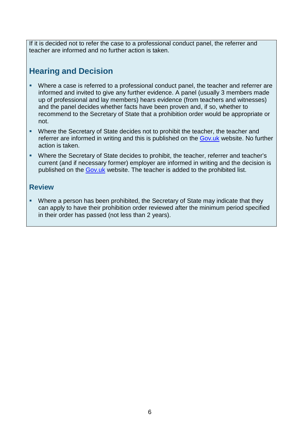If it is decided not to refer the case to a professional conduct panel, the referrer and teacher are informed and no further action is taken.

## **Hearing and Decision**

- Where a case is referred to a professional conduct panel, the teacher and referrer are informed and invited to give any further evidence. A panel (usually 3 members made up of professional and lay members) hears evidence (from teachers and witnesses) and the panel decides whether facts have been proven and, if so, whether to recommend to the Secretary of State that a prohibition order would be appropriate or not.
- Where the Secretary of State decides not to prohibit the teacher, the teacher and referrer are informed in writing and this is published on the [Gov.uk](https://www.gov.uk/government/publications?keywords&publication_filter_option=decisions&topics%5B%5D=schools&departments%5B%5D=national-college-for-teaching-and-leadership&official_document_status=all&world_locations%5B%5D=all) website. No further action is taken.
- Where the Secretary of State decides to prohibit, the teacher, referrer and teacher's current (and if necessary former) employer are informed in writing and the decision is published on the [Gov.uk](https://www.gov.uk/government/publications?keywords&publication_filter_option=decisions&topics%5B%5D=schools&departments%5B%5D=national-college-for-teaching-and-leadership&official_document_status=all&world_locations%5B%5D=all) website. The teacher is added to the prohibited list.

#### **Review**

• Where a person has been prohibited, the Secretary of State may indicate that they can apply to have their prohibition order reviewed after the minimum period specified in their order has passed (not less than 2 years).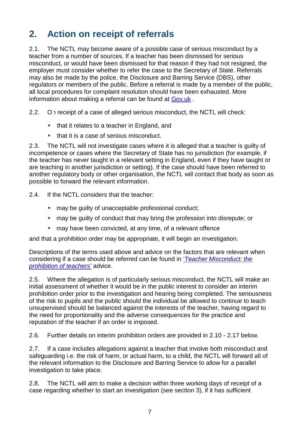# **2. Action on receipt of referrals**

2.1. The NCTL may become aware of a possible case of serious misconduct by a teacher from a number of sources. If a teacher has been dismissed for serious misconduct, or would have been dismissed for that reason if they had not resigned, the employer must consider whether to refer the case to the Secretary of State. Referrals may also be made by the police, the Disclosure and Barring Service (DBS), other regulators or members of the public. Before a referral is made by a member of the public, all local procedures for complaint resolution should have been exhausted. More information about making a referral can be found at [Gov.uk](https://www.gov.uk/teacher-misconduct-referring-a-case) .

2.2. On receipt of a case of alleged serious misconduct, the NCTL will check:

- E. that it relates to a teacher in England, and
- **College** that it is a case of serious misconduct.

2.3. The NCTL will not investigate cases where it is alleged that a teacher is guilty of incompetence or cases where the Secretary of State has no jurisdiction (for example, if the teacher has never taught in a relevant setting in England, even if they have taught or are teaching in another jurisdiction or setting). If the case should have been referred to another regulatory body or other organisation, the NCTL will contact that body as soon as possible to forward the relevant information.

2.4. If the NCTL considers that the teacher:

- **nay be quilty of unacceptable professional conduct;**
- may be guilty of conduct that may bring the profession into disrepute; or
- may have been convicted, at any time, of a relevant offence

and that a prohibition order may be appropriate, it will begin an investigation.

Descriptions of the terms used above and advice on the factors that are relevant when considering if a case should be referred can be found in '*[Teacher Misconduct: the](https://www.gov.uk/government/publications/teacher-misconduct-the-prohibition-of-teachers--3) [prohibition of](https://www.gov.uk/government/publications/teacher-misconduct-the-prohibition-of-teachers--3) teachers'* advice.

2.5. Where the allegation is of particularly serious misconduct, the NCTL will make an initial assessment of whether it would be in the public interest to consider an interim prohibition order prior to the investigation and hearing being completed. The seriousness of the risk to pupils and the public should the individual be allowed to continue to teach unsupervised should be balanced against the interests of the teacher, having regard to the need for proportionality and the adverse consequences for the practice and reputation of the teacher if an order is imposed.

2.6. Further details on interim prohibition orders are provided in 2.10 - 2.17 below.

2.7. If a case includes allegations against a teacher that involve both misconduct and safeguarding i.e. the risk of harm, or actual harm, to a child, the NCTL will forward all of the relevant information to the Disclosure and Barring Service to allow for a parallel investigation to take place.

2.8. The NCTL will aim to make a decision within three working days of receipt of a case regarding whether to start an investigation (see section 3), if it has sufficient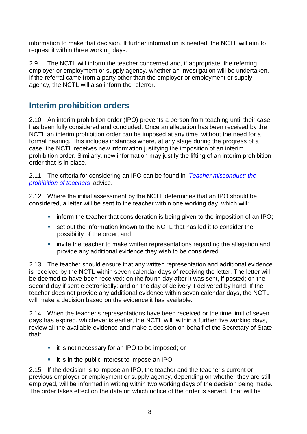information to make that decision. If further information is needed, the NCTL will aim to request it within three working days.

2.9. The NCTL will inform the teacher concerned and, if appropriate, the referring employer or employment or supply agency, whether an investigation will be undertaken. If the referral came from a party other than the employer or employment or supply agency, the NCTL will also inform the referrer.

## **Interim prohibition orders**

2.10. An interim prohibition order (IPO) prevents a person from teaching until their case has been fully considered and concluded. Once an allegation has been received by the NCTL an interim prohibition order can be imposed at any time, without the need for a formal hearing. This includes instances where, at any stage during the progress of a case, the NCTL receives new information justifying the imposition of an interim prohibition order. Similarly, new information may justify the lifting of an interim prohibition order that is in place.

2.11. The criteria for considering an IPO can be found in '*[Teacher misconduct:](https://www.gov.uk/government/publications/teacher-misconduct-the-prohibition-of-teachers--3) the [prohibition of](https://www.gov.uk/government/publications/teacher-misconduct-the-prohibition-of-teachers--3) teachers'* advice.

2.12. Where the initial assessment by the NCTL determines that an IPO should be considered, a letter will be sent to the teacher within one working day, which will:

- $\blacksquare$  inform the teacher that consideration is being given to the imposition of an IPO;
- set out the information known to the NCTL that has led it to consider the possibility of the order; and
- **EXTER** invite the teacher to make written representations regarding the allegation and provide any additional evidence they wish to be considered.

2.13. The teacher should ensure that any written representation and additional evidence is received by the NCTL within seven calendar days of receiving the letter. The letter will be deemed to have been received: on the fourth day after it was sent, if posted; on the second day if sent electronically; and on the day of delivery if delivered by hand. If the teacher does not provide any additional evidence within seven calendar days, the NCTL will make a decision based on the evidence it has available.

2.14. When the teacher's representations have been received or the time limit of seven days has expired, whichever is earlier, the NCTL will, within a further five working days, review all the available evidence and make a decision on behalf of the Secretary of State that:

- **i** it is not necessary for an IPO to be imposed; or
- **i** it is in the public interest to impose an IPO.

2.15. If the decision is to impose an IPO, the teacher and the teacher's current or previous employer or employment or supply agency, depending on whether they are still employed, will be informed in writing within two working days of the decision being made. The order takes effect on the date on which notice of the order is served. That will be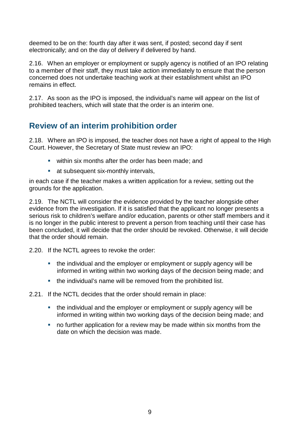deemed to be on the: fourth day after it was sent, if posted; second day if sent electronically; and on the day of delivery if delivered by hand.

2.16. When an employer or employment or supply agency is notified of an IPO relating to a member of their staff, they must take action immediately to ensure that the person concerned does not undertake teaching work at their establishment whilst an IPO remains in effect.

2.17. As soon as the IPO is imposed, the individual's name will appear on the list of prohibited teachers, which will state that the order is an interim one.

## **Review of an interim prohibition order**

2.18. Where an IPO is imposed, the teacher does not have a right of appeal to the High Court. However, the Secretary of State must review an IPO:

- within six months after the order has been made; and
- **at subsequent six-monthly intervals,**

in each case if the teacher makes a written application for a review, setting out the grounds for the application.

2.19. The NCTL will consider the evidence provided by the teacher alongside other evidence from the investigation. If it is satisfied that the applicant no longer presents a serious risk to children's welfare and/or education, parents or other staff members and it is no longer in the public interest to prevent a person from teaching until their case has been concluded, it will decide that the order should be revoked. Otherwise, it will decide that the order should remain.

2.20. If the NCTL agrees to revoke the order:

- the individual and the employer or employment or supply agency will be informed in writing within two working days of the decision being made; and
- the individual's name will be removed from the prohibited list.

2.21. If the NCTL decides that the order should remain in place:

- the individual and the employer or employment or supply agency will be informed in writing within two working days of the decision being made; and
- no further application for a review may be made within six months from the date on which the decision was made.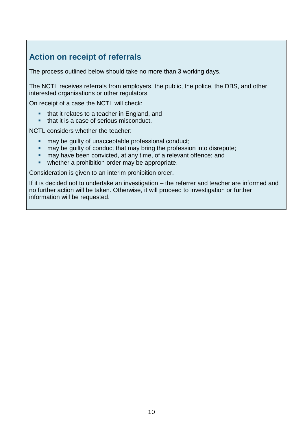## **Action on receipt of referrals**

The process outlined below should take no more than 3 working days.

The NCTL receives referrals from employers, the public, the police, the DBS, and other interested organisations or other regulators.

On receipt of a case the NCTL will check:

- that it relates to a teacher in England, and
- **that it is a case of serious misconduct.**

NCTL considers whether the teacher:

- may be guilty of unacceptable professional conduct;<br>may be quilty of conduct that may bring the professional
- may be guilty of conduct that may bring the profession into disrepute;
- **now have been convicted, at any time, of a relevant offence; and**
- **•** whether a prohibition order may be appropriate.

Consideration is given to an interim prohibition order.

If it is decided not to undertake an investigation – the referrer and teacher are informed and no further action will be taken. Otherwise, it will proceed to investigation or further information will be requested.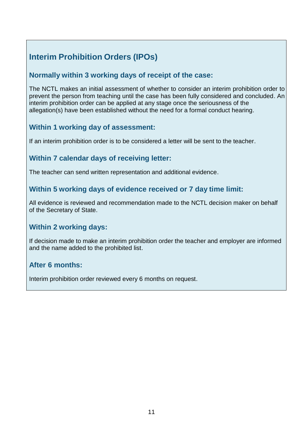# **Interim Prohibition Orders (IPOs)**

#### **Normally within 3 working days of receipt of the case:**

The NCTL makes an initial assessment of whether to consider an interim prohibition order to prevent the person from teaching until the case has been fully considered and concluded. An interim prohibition order can be applied at any stage once the seriousness of the allegation(s) have been established without the need for a formal conduct hearing.

#### **Within 1 working day of assessment:**

If an interim prohibition order is to be considered a letter will be sent to the teacher.

#### **Within 7 calendar days of receiving letter:**

The teacher can send written representation and additional evidence.

#### **Within 5 working days of evidence received or 7 day time limit:**

All evidence is reviewed and recommendation made to the NCTL decision maker on behalf of the Secretary of State.

#### **Within 2 working days:**

If decision made to make an interim prohibition order the teacher and employer are informed and the name added to the prohibited list.

#### **After 6 months:**

Interim prohibition order reviewed every 6 months on request.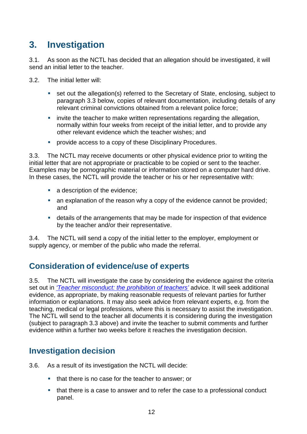# **3. Investigation**

3.1. As soon as the NCTL has decided that an allegation should be investigated, it will send an initial letter to the teacher.

3.2. The initial letter will:

- set out the allegation(s) referred to the Secretary of State, enclosing, subject to paragraph 3.3 below, copies of relevant documentation, including details of any relevant criminal convictions obtained from a relevant police force;
- invite the teacher to make written representations regarding the allegation, normally within four weeks from receipt of the initial letter, and to provide any other relevant evidence which the teacher wishes; and
- **•** provide access to a copy of these Disciplinary Procedures.

3.3. The NCTL may receive documents or other physical evidence prior to writing the initial letter that are not appropriate or practicable to be copied or sent to the teacher. Examples may be pornographic material or information stored on a computer hard drive. In these cases, the NCTL will provide the teacher or his or her representative with:

- a description of the evidence;
- an explanation of the reason why a copy of the evidence cannot be provided; and
- details of the arrangements that may be made for inspection of that evidence by the teacher and/or their representative.

3.4. The NCTL will send a copy of the initial letter to the employer, employment or supply agency, or member of the public who made the referral.

## **Consideration of evidence/use of experts**

3.5. The NCTL will investigate the case by considering the evidence against the criteria set out in *['Teacher misconduct: the](https://www.gov.uk/government/publications/teacher-misconduct-the-prohibition-of-teachers--3) prohibition of teachers'* advice. It will seek additional evidence, as appropriate, by making reasonable requests of relevant parties for further information or explanations. It may also seek advice from relevant experts, e.g. from the teaching, medical or legal professions, where this is necessary to assist the investigation. The NCTL will send to the teacher all documents it is considering during the investigation (subject to paragraph 3.3 above) and invite the teacher to submit comments and further evidence within a further two weeks before it reaches the investigation decision.

## **Investigation decision**

- 3.6. As a result of its investigation the NCTL will decide:
	- that there is no case for the teacher to answer; or
	- that there is a case to answer and to refer the case to a professional conduct panel.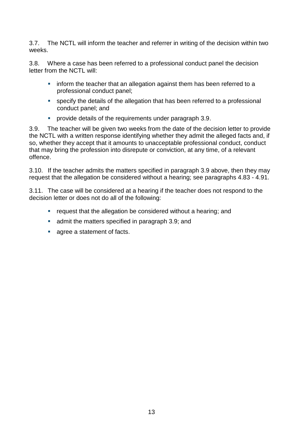3.7. The NCTL will inform the teacher and referrer in writing of the decision within two weeks.

3.8. Where a case has been referred to a professional conduct panel the decision letter from the NCTL will:

- **F** inform the teacher that an allegation against them has been referred to a professional conduct panel;
- specify the details of the allegation that has been referred to a professional conduct panel; and
- **Perovide details of the requirements under paragraph 3.9.**

3.9. The teacher will be given two weeks from the date of the decision letter to provide the NCTL with a written response identifying whether they admit the alleged facts and, if so, whether they accept that it amounts to unacceptable professional conduct, conduct that may bring the profession into disrepute or conviction, at any time, of a relevant offence.

3.10. If the teacher admits the matters specified in paragraph 3.9 above, then they may request that the allegation be considered without a hearing; see paragraphs 4.83 - 4.91.

3.11. The case will be considered at a hearing if the teacher does not respond to the decision letter or does not do all of the following:

- **•** request that the allegation be considered without a hearing; and
- **a** admit the matters specified in paragraph 3.9; and
- **agree a statement of facts.**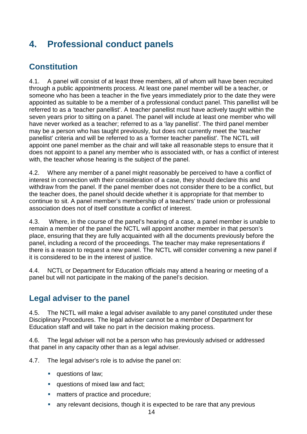# **4. Professional conduct panels**

## **Constitution**

4.1. A panel will consist of at least three members, all of whom will have been recruited through a public appointments process. At least one panel member will be a teacher, or someone who has been a teacher in the five years immediately prior to the date they were appointed as suitable to be a member of a professional conduct panel. This panellist will be referred to as a 'teacher panellist'. A teacher panellist must have actively taught within the seven years prior to sitting on a panel. The panel will include at least one member who will have never worked as a teacher; referred to as a 'lay panellist'. The third panel member may be a person who has taught previously, but does not currently meet the 'teacher panellist' criteria and will be referred to as a 'former teacher panellist'. The NCTL will appoint one panel member as the chair and will take all reasonable steps to ensure that it does not appoint to a panel any member who is associated with, or has a conflict of interest with, the teacher whose hearing is the subject of the panel.

4.2. Where any member of a panel might reasonably be perceived to have a conflict of interest in connection with their consideration of a case, they should declare this and withdraw from the panel. If the panel member does not consider there to be a conflict, but the teacher does, the panel should decide whether it is appropriate for that member to continue to sit. A panel member's membership of a teachers' trade union or professional association does not of itself constitute a conflict of interest.

4.3. Where, in the course of the panel's hearing of a case, a panel member is unable to remain a member of the panel the NCTL will appoint another member in that person's place, ensuring that they are fully acquainted with all the documents previously before the panel, including a record of the proceedings. The teacher may make representations if there is a reason to request a new panel. The NCTL will consider convening a new panel if it is considered to be in the interest of justice.

4.4. NCTL or Department for Education officials may attend a hearing or meeting of a panel but will not participate in the making of the panel's decision.

## **Legal adviser to the panel**

4.5. The NCTL will make a legal adviser available to any panel constituted under these Disciplinary Procedures. The legal adviser cannot be a member of Department for Education staff and will take no part in the decision making process.

4.6. The legal adviser will not be a person who has previously advised or addressed that panel in any capacity other than as a legal adviser.

4.7. The legal adviser's role is to advise the panel on:

- **questions of law;**
- **questions of mixed law and fact;**
- **natters of practice and procedure;**
- any relevant decisions, though it is expected to be rare that any previous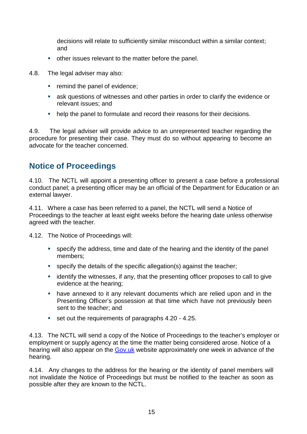decisions will relate to sufficiently similar misconduct within a similar context; and

- other issues relevant to the matter before the panel.
- 4.8. The legal adviser may also:
	- **•** remind the panel of evidence;
	- ask questions of witnesses and other parties in order to clarify the evidence or relevant issues; and
	- help the panel to formulate and record their reasons for their decisions.

4.9. The legal adviser will provide advice to an unrepresented teacher regarding the procedure for presenting their case. They must do so without appearing to become an advocate for the teacher concerned.

#### **Notice of Proceedings**

4.10. The NCTL will appoint a presenting officer to present a case before a professional conduct panel; a presenting officer may be an official of the Department for Education or an external lawyer.

4.11. Where a case has been referred to a panel, the NCTL will send a Notice of Proceedings to the teacher at least eight weeks before the hearing date unless otherwise agreed with the teacher.

- 4.12. The Notice of Proceedings will:
	- specify the address, time and date of the hearing and the identity of the panel members;
	- specify the details of the specific allegation(s) against the teacher;
	- **EXED** identify the witnesses, if any, that the presenting officer proposes to call to give evidence at the hearing;
	- have annexed to it any relevant documents which are relied upon and in the Presenting Officer's possession at that time which have not previously been sent to the teacher; and
	- set out the requirements of paragraphs 4.20 4.25.

4.13. The NCTL will send a copy of the Notice of Proceedings to the teacher's employer or employment or supply agency at the time the matter being considered arose. Notice of a hearing will also appear on the [Gov.uk](https://www.gov.uk/government/collections/teacher-misconduct) website approximately one week in advance of the hearing.

4.14. Any changes to the address for the hearing or the identity of panel members will not invalidate the Notice of Proceedings but must be notified to the teacher as soon as possible after they are known to the NCTL.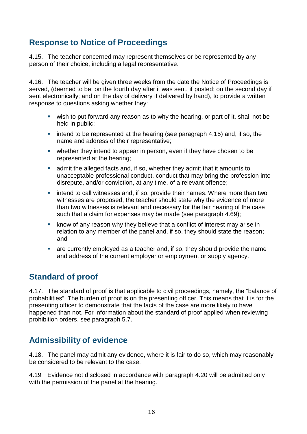## **Response to Notice of Proceedings**

4.15. The teacher concerned may represent themselves or be represented by any person of their choice, including a legal representative.

4.16. The teacher will be given three weeks from the date the Notice of Proceedings is served, (deemed to be: on the fourth day after it was sent, if posted; on the second day if sent electronically; and on the day of delivery if delivered by hand), to provide a written response to questions asking whether they:

- wish to put forward any reason as to why the hearing, or part of it, shall not be held in public;
- $\blacksquare$  intend to be represented at the hearing (see paragraph 4.15) and, if so, the name and address of their representative;
- whether they intend to appear in person, even if they have chosen to be represented at the hearing;
- admit the alleged facts and, if so, whether they admit that it amounts to unacceptable professional conduct, conduct that may bring the profession into disrepute, and/or conviction, at any time, of a relevant offence;
- **EXEDEE intend to call witnesses and, if so, provide their names. Where more than two** witnesses are proposed, the teacher should state why the evidence of more than two witnesses is relevant and necessary for the fair hearing of the case such that a claim for expenses may be made (see paragraph 4.69);
- **EXED** know of any reason why they believe that a conflict of interest may arise in relation to any member of the panel and, if so, they should state the reason; and
- are currently employed as a teacher and, if so, they should provide the name and address of the current employer or employment or supply agency.

## **Standard of proof**

4.17. The standard of proof is that applicable to civil proceedings, namely, the "balance of probabilities". The burden of proof is on the presenting officer. This means that it is for the presenting officer to demonstrate that the facts of the case are more likely to have happened than not. For information about the standard of proof applied when reviewing prohibition orders, see paragraph 5.7.

## **Admissibility of evidence**

4.18. The panel may admit any evidence, where it is fair to do so, which may reasonably be considered to be relevant to the case.

4.19 Evidence not disclosed in accordance with paragraph 4.20 will be admitted only with the permission of the panel at the hearing.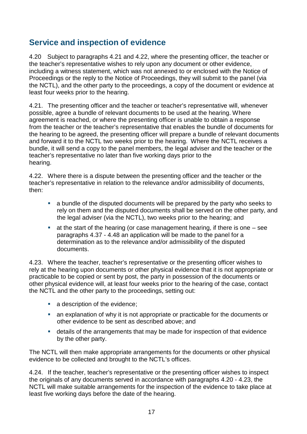## **Service and inspection of evidence**

4.20 Subject to paragraphs 4.21 and 4.22, where the presenting officer, the teacher or the teacher's representative wishes to rely upon any document or other evidence, including a witness statement, which was not annexed to or enclosed with the Notice of Proceedings or the reply to the Notice of Proceedings, they will submit to the panel (via the NCTL), and the other party to the proceedings, a copy of the document or evidence at least four weeks prior to the hearing.

4.21. The presenting officer and the teacher or teacher's representative will, whenever possible, agree a bundle of relevant documents to be used at the hearing. Where agreement is reached, or where the presenting officer is unable to obtain a response from the teacher or the teacher's representative that enables the bundle of documents for the hearing to be agreed, the presenting officer will prepare a bundle of relevant documents and forward it to the NCTL two weeks prior to the hearing. Where the NCTL receives a bundle, it will send a copy to the panel members, the legal adviser and the teacher or the teacher's representative no later than five working days prior to the hearing.

4.22. Where there is a dispute between the presenting officer and the teacher or the teacher's representative in relation to the relevance and/or admissibility of documents, then:

- a bundle of the disputed documents will be prepared by the party who seeks to rely on them and the disputed documents shall be served on the other party, and the legal adviser (via the NCTL), two weeks prior to the hearing; and
- $\blacksquare$  at the start of the hearing (or case management hearing, if there is one  $\blacksquare$  see paragraphs 4.37 - 4.48 an application will be made to the panel for a determination as to the relevance and/or admissibility of the disputed documents.

4.23. Where the teacher, teacher's representative or the presenting officer wishes to rely at the hearing upon documents or other physical evidence that it is not appropriate or practicable to be copied or sent by post, the party in possession of the documents or other physical evidence will, at least four weeks prior to the hearing of the case, contact the NCTL and the other party to the proceedings, setting out:

- a description of the evidence;
- an explanation of why it is not appropriate or practicable for the documents or other evidence to be sent as described above; and
- details of the arrangements that may be made for inspection of that evidence by the other party.

The NCTL will then make appropriate arrangements for the documents or other physical evidence to be collected and brought to the NCTL's offices.

4.24. If the teacher, teacher's representative or the presenting officer wishes to inspect the originals of any documents served in accordance with paragraphs 4.20 - 4.23, the NCTL will make suitable arrangements for the inspection of the evidence to take place at least five working days before the date of the hearing.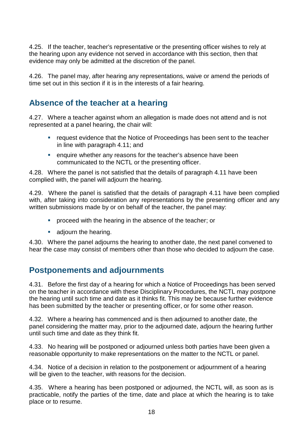4.25. If the teacher, teacher's representative or the presenting officer wishes to rely at the hearing upon any evidence not served in accordance with this section, then that evidence may only be admitted at the discretion of the panel.

4.26. The panel may, after hearing any representations, waive or amend the periods of time set out in this section if it is in the interests of a fair hearing.

#### **Absence of the teacher at a hearing**

4.27. Where a teacher against whom an allegation is made does not attend and is not represented at a panel hearing, the chair will:

- **•** request evidence that the Notice of Proceedings has been sent to the teacher in line with paragraph 4.11; and
- **EXECT** enquire whether any reasons for the teacher's absence have been communicated to the NCTL or the presenting officer.

4.28. Where the panel is not satisfied that the details of paragraph 4.11 have been complied with, the panel will adjourn the hearing.

4.29. Where the panel is satisfied that the details of paragraph 4.11 have been complied with, after taking into consideration any representations by the presenting officer and any written submissions made by or on behalf of the teacher, the panel may:

- **proceed with the hearing in the absence of the teacher; or**
- **adjourn the hearing.**

4.30. Where the panel adjourns the hearing to another date, the next panel convened to hear the case may consist of members other than those who decided to adjourn the case.

#### **Postponements and adjournments**

4.31. Before the first day of a hearing for which a Notice of Proceedings has been served on the teacher in accordance with these Disciplinary Procedures, the NCTL may postpone the hearing until such time and date as it thinks fit. This may be because further evidence has been submitted by the teacher or presenting officer, or for some other reason.

4.32. Where a hearing has commenced and is then adjourned to another date, the panel considering the matter may, prior to the adjourned date, adjourn the hearing further until such time and date as they think fit.

4.33. No hearing will be postponed or adjourned unless both parties have been given a reasonable opportunity to make representations on the matter to the NCTL or panel.

4.34. Notice of a decision in relation to the postponement or adjournment of a hearing will be given to the teacher, with reasons for the decision.

4.35. Where a hearing has been postponed or adjourned, the NCTL will, as soon as is practicable, notify the parties of the time, date and place at which the hearing is to take place or to resume.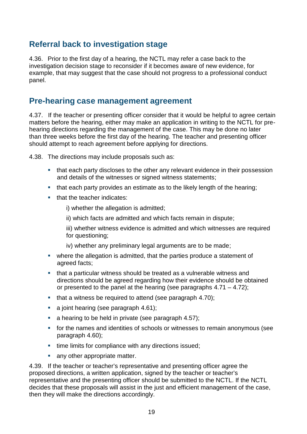#### **Referral back to investigation stage**

4.36. Prior to the first day of a hearing, the NCTL may refer a case back to the investigation decision stage to reconsider if it becomes aware of new evidence, for example, that may suggest that the case should not progress to a professional conduct panel.

#### **Pre-hearing case management agreement**

4.37. If the teacher or presenting officer consider that it would be helpful to agree certain matters before the hearing, either may make an application in writing to the NCTL for prehearing directions regarding the management of the case. This may be done no later than three weeks before the first day of the hearing. The teacher and presenting officer should attempt to reach agreement before applying for directions.

4.38. The directions may include proposals such as:

- that each party discloses to the other any relevant evidence in their possession and details of the witnesses or signed witness statements;
- that each party provides an estimate as to the likely length of the hearing;
- that the teacher indicates:

i) whether the allegation is admitted;

- ii) which facts are admitted and which facts remain in dispute;
- iii) whether witness evidence is admitted and which witnesses are required for questioning;
- iv) whether any preliminary legal arguments are to be made;
- where the allegation is admitted, that the parties produce a statement of agreed facts;
- that a particular witness should be treated as a vulnerable witness and directions should be agreed regarding how their evidence should be obtained or presented to the panel at the hearing (see paragraphs  $4.71 - 4.72$ );
- $\blacksquare$  that a witness be required to attend (see paragraph 4.70);
- a joint hearing (see paragraph 4.61);
- a hearing to be held in private (see paragraph 4.57);
- for the names and identities of schools or witnesses to remain anonymous (see paragraph 4.60);
- **time limits for compliance with any directions issued;**
- any other appropriate matter.

4.39. If the teacher or teacher's representative and presenting officer agree the proposed directions, a written application, signed by the teacher or teacher's representative and the presenting officer should be submitted to the NCTL. If the NCTL decides that these proposals will assist in the just and efficient management of the case, then they will make the directions accordingly.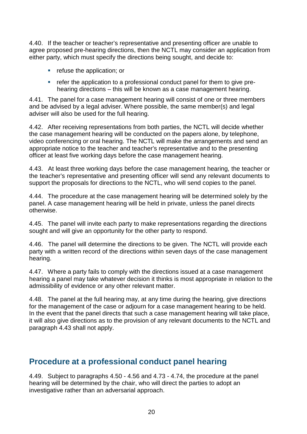4.40. If the teacher or teacher's representative and presenting officer are unable to agree proposed pre-hearing directions, then the NCTL may consider an application from either party, which must specify the directions being sought, and decide to:

- **•** refuse the application; or
- **Fig. 2** refer the application to a professional conduct panel for them to give prehearing directions – this will be known as a case management hearing.

4.41. The panel for a case management hearing will consist of one or three members and be advised by a legal adviser. Where possible, the same member(s) and legal adviser will also be used for the full hearing.

4.42. After receiving representations from both parties, the NCTL will decide whether the case management hearing will be conducted on the papers alone, by telephone, video conferencing or oral hearing. The NCTL will make the arrangements and send an appropriate notice to the teacher and teacher's representative and to the presenting officer at least five working days before the case management hearing.

4.43. At least three working days before the case management hearing, the teacher or the teacher's representative and presenting officer will send any relevant documents to support the proposals for directions to the NCTL, who will send copies to the panel.

4.44. The procedure at the case management hearing will be determined solely by the panel. A case management hearing will be held in private, unless the panel directs otherwise.

4.45. The panel will invite each party to make representations regarding the directions sought and will give an opportunity for the other party to respond.

4.46. The panel will determine the directions to be given. The NCTL will provide each party with a written record of the directions within seven days of the case management hearing.

4.47. Where a party fails to comply with the directions issued at a case management hearing a panel may take whatever decision it thinks is most appropriate in relation to the admissibility of evidence or any other relevant matter.

4.48. The panel at the full hearing may, at any time during the hearing, give directions for the management of the case or adjourn for a case management hearing to be held. In the event that the panel directs that such a case management hearing will take place, it will also give directions as to the provision of any relevant documents to the NCTL and paragraph 4.43 shall not apply.

## **Procedure at a professional conduct panel hearing**

4.49. Subject to paragraphs 4.50 - 4.56 and 4.73 - 4.74, the procedure at the panel hearing will be determined by the chair, who will direct the parties to adopt an investigative rather than an adversarial approach.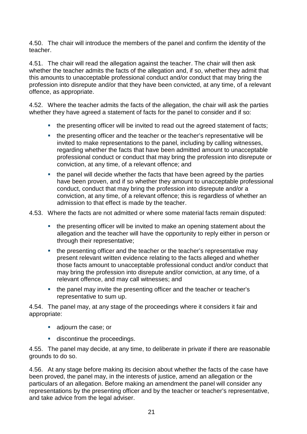4.50. The chair will introduce the members of the panel and confirm the identity of the teacher.

4.51. The chair will read the allegation against the teacher. The chair will then ask whether the teacher admits the facts of the allegation and, if so, whether they admit that this amounts to unacceptable professional conduct and/or conduct that may bring the profession into disrepute and/or that they have been convicted, at any time, of a relevant offence, as appropriate.

4.52. Where the teacher admits the facts of the allegation, the chair will ask the parties whether they have agreed a statement of facts for the panel to consider and if so:

- the presenting officer will be invited to read out the agreed statement of facts;
- the presenting officer and the teacher or the teacher's representative will be invited to make representations to the panel, including by calling witnesses, regarding whether the facts that have been admitted amount to unacceptable professional conduct or conduct that may bring the profession into disrepute or conviction, at any time, of a relevant offence; and
- the panel will decide whether the facts that have been agreed by the parties have been proven, and if so whether they amount to unacceptable professional conduct, conduct that may bring the profession into disrepute and/or a conviction, at any time, of a relevant offence; this is regardless of whether an admission to that effect is made by the teacher.

4.53. Where the facts are not admitted or where some material facts remain disputed:

- the presenting officer will be invited to make an opening statement about the allegation and the teacher will have the opportunity to reply either in person or through their representative;
- the presenting officer and the teacher or the teacher's representative may present relevant written evidence relating to the facts alleged and whether those facts amount to unacceptable professional conduct and/or conduct that may bring the profession into disrepute and/or conviction, at any time, of a relevant offence, and may call witnesses; and
- the panel may invite the presenting officer and the teacher or teacher's representative to sum up.

4.54. The panel may, at any stage of the proceedings where it considers it fair and appropriate:

- **adjourn the case; or**
- **discontinue the proceedings.**

4.55. The panel may decide, at any time, to deliberate in private if there are reasonable grounds to do so.

4.56. At any stage before making its decision about whether the facts of the case have been proved, the panel may, in the interests of justice, amend an allegation or the particulars of an allegation. Before making an amendment the panel will consider any representations by the presenting officer and by the teacher or teacher's representative, and take advice from the legal adviser.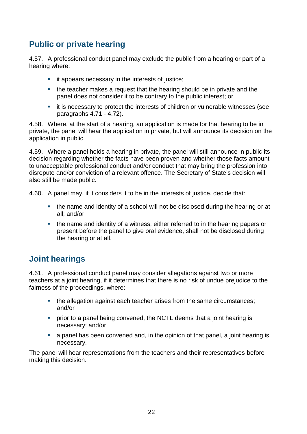## **Public or private hearing**

4.57. A professional conduct panel may exclude the public from a hearing or part of a hearing where:

- **i** it appears necessary in the interests of justice;
- the teacher makes a request that the hearing should be in private and the panel does not consider it to be contrary to the public interest; or
- it is necessary to protect the interests of children or vulnerable witnesses (see paragraphs 4.71 - 4.72).

4.58. Where, at the start of a hearing, an application is made for that hearing to be in private, the panel will hear the application in private, but will announce its decision on the application in public.

4.59. Where a panel holds a hearing in private, the panel will still announce in public its decision regarding whether the facts have been proven and whether those facts amount to unacceptable professional conduct and/or conduct that may bring the profession into disrepute and/or conviction of a relevant offence. The Secretary of State's decision will also still be made public.

4.60. A panel may, if it considers it to be in the interests of justice, decide that:

- the name and identity of a school will not be disclosed during the hearing or at all; and/or
- the name and identity of a witness, either referred to in the hearing papers or present before the panel to give oral evidence, shall not be disclosed during the hearing or at all.

## **Joint hearings**

4.61. A professional conduct panel may consider allegations against two or more teachers at a joint hearing, if it determines that there is no risk of undue prejudice to the fairness of the proceedings, where:

- the allegation against each teacher arises from the same circumstances; and/or
- **•** prior to a panel being convened, the NCTL deems that a joint hearing is necessary; and/or
- a panel has been convened and, in the opinion of that panel, a joint hearing is necessary.

The panel will hear representations from the teachers and their representatives before making this decision.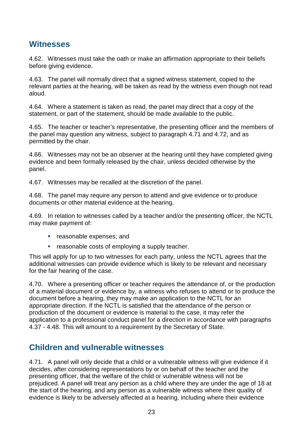#### **Witnesses**

4.62. Witnesses must take the oath or make an affirmation appropriate to their beliefs before giving evidence.

4.63. The panel will normally direct that a signed witness statement, copied to the relevant parties at the hearing, will be taken as read by the witness even though not read aloud.

4.64. Where a statement is taken as read, the panel may direct that a copy of the statement, or part of the statement, should be made available to the public.

4.65. The teacher or teacher's representative, the presenting officer and the members of the panel may question any witness, subject to paragraph 4.71 and 4.72, and as permitted by the chair.

4.66. Witnesses may not be an observer at the hearing until they have completed giving evidence and been formally released by the chair, unless decided otherwise by the panel.

4.67. Witnesses may be recalled at the discretion of the panel.

4.68. The panel may require any person to attend and give evidence or to produce documents or other material evidence at the hearing.

4.69. In relation to witnesses called by a teacher and/or the presenting officer, the NCTL may make payment of:

- **•** reasonable expenses; and
- **EXE** reasonable costs of employing a supply teacher.

This will apply for up to two witnesses for each party, unless the NCTL agrees that the additional witnesses can provide evidence which is likely to be relevant and necessary for the fair hearing of the case.

4.70. Where a presenting officer or teacher requires the attendance of, or the production of a material document or evidence by, a witness who refuses to attend or to produce the document before a hearing, they may make an application to the NCTL for an appropriate direction. If the NCTL is satisfied that the attendance of the person or production of the document or evidence is material to the case, it may refer the application to a professional conduct panel for a direction in accordance with paragraphs 4.37 - 4.48. This will amount to a requirement by the Secretary of State.

#### **Children and vulnerable witnesses**

4.71. A panel will only decide that a child or a vulnerable witness will give evidence if it decides, after considering representations by or on behalf of the teacher and the presenting officer, that the welfare of the child or vulnerable witness will not be prejudiced. A panel will treat any person as a child where they are under the age of 18 at the start of the hearing, and any person as a vulnerable witness where their quality of evidence is likely to be adversely affected at a hearing, including where their evidence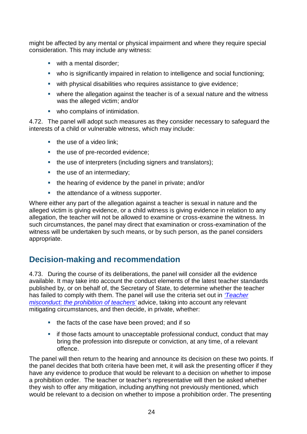might be affected by any mental or physical impairment and where they require special consideration. This may include any witness:

- **with a mental disorder;**
- who is significantly impaired in relation to intelligence and social functioning;
- with physical disabilities who requires assistance to give evidence;
- where the allegation against the teacher is of a sexual nature and the witness was the alleged victim; and/or
- **•** who complains of intimidation.

4.72. The panel will adopt such measures as they consider necessary to safeguard the interests of a child or vulnerable witness, which may include:

- $\blacksquare$  the use of a video link;
- the use of pre-recorded evidence;
- the use of interpreters (including signers and translators);
- $\blacksquare$  the use of an intermediary;
- the hearing of evidence by the panel in private; and/or
- the attendance of a witness supporter.

Where either any part of the allegation against a teacher is sexual in nature and the alleged victim is giving evidence, or a child witness is giving evidence in relation to any allegation, the teacher will not be allowed to examine or cross-examine the witness. In such circumstances, the panel may direct that examination or cross-examination of the witness will be undertaken by such means, or by such person, as the panel considers appropriate.

## **Decision-making and recommendation**

4.73. During the course of its deliberations, the panel will consider all the evidence available. It may take into account the conduct elements of the latest teacher standards published by, or on behalf of, the Secretary of State, to determine whether the teacher has failed to comply with them. The panel will use the criteria set out in *['Teacher](https://www.gov.uk/government/publications/teacher-misconduct-the-prohibition-of-teachers--3) misconduct: [the prohibition](https://www.gov.uk/government/publications/teacher-misconduct-the-prohibition-of-teachers--3) of teachers'* advice, taking into account any relevant mitigating circumstances, and then decide, in private, whether:

- the facts of the case have been proved; and if so
- **if those facts amount to unacceptable professional conduct, conduct that may** bring the profession into disrepute or conviction, at any time, of a relevant offence.

The panel will then return to the hearing and announce its decision on these two points. If the panel decides that both criteria have been met, it will ask the presenting officer if they have any evidence to produce that would be relevant to a decision on whether to impose a prohibition order. The teacher or teacher's representative will then be asked whether they wish to offer any mitigation, including anything not previously mentioned, which would be relevant to a decision on whether to impose a prohibition order. The presenting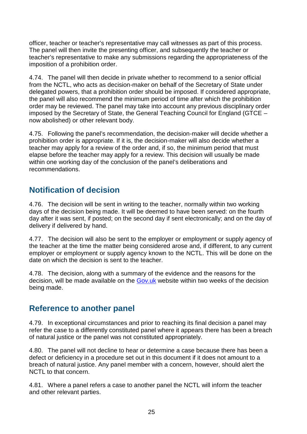officer, teacher or teacher's representative may call witnesses as part of this process. The panel will then invite the presenting officer, and subsequently the teacher or teacher's representative to make any submissions regarding the appropriateness of the imposition of a prohibition order.

4.74. The panel will then decide in private whether to recommend to a senior official from the NCTL, who acts as decision-maker on behalf of the Secretary of State under delegated powers, that a prohibition order should be imposed. If considered appropriate, the panel will also recommend the minimum period of time after which the prohibition order may be reviewed. The panel may take into account any previous disciplinary order imposed by the Secretary of State, the General Teaching Council for England (GTCE – now abolished) or other relevant body.

4.75. Following the panel's recommendation, the decision-maker will decide whether a prohibition order is appropriate. If it is, the decision-maker will also decide whether a teacher may apply for a review of the order and, if so, the minimum period that must elapse before the teacher may apply for a review. This decision will usually be made within one working day of the conclusion of the panel's deliberations and recommendations.

## **Notification of decision**

4.76. The decision will be sent in writing to the teacher, normally within two working days of the decision being made. It will be deemed to have been served: on the fourth day after it was sent, if posted; on the second day if sent electronically; and on the day of delivery if delivered by hand.

4.77. The decision will also be sent to the employer or employment or supply agency of the teacher at the time the matter being considered arose and, if different, to any current employer or employment or supply agency known to the NCTL. This will be done on the date on which the decision is sent to the teacher.

4.78. The decision, along with a summary of the evidence and the reasons for the decision, will be made available on the [Gov.uk](https://www.gov.uk/government/publications?keywords&publication_filter_option=decisions&topics%5B%5D=schools&departments%5B%5D=national-college-for-teaching-and-leadership&official_document_status=all&world_locations%5B%5D=all) website within two weeks of the decision being made.

#### **Reference to another panel**

4.79. In exceptional circumstances and prior to reaching its final decision a panel may refer the case to a differently constituted panel where it appears there has been a breach of natural justice or the panel was not constituted appropriately.

4.80. The panel will not decline to hear or determine a case because there has been a defect or deficiency in a procedure set out in this document if it does not amount to a breach of natural justice. Any panel member with a concern, however, should alert the NCTL to that concern.

4.81. Where a panel refers a case to another panel the NCTL will inform the teacher and other relevant parties.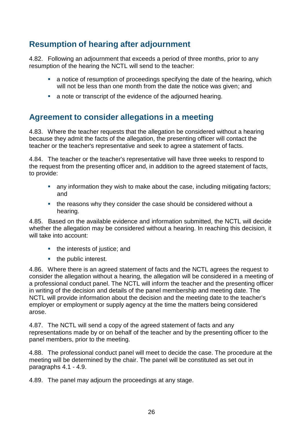## **Resumption of hearing after adjournment**

4.82. Following an adjournment that exceeds a period of three months, prior to any resumption of the hearing the NCTL will send to the teacher:

- a notice of resumption of proceedings specifying the date of the hearing, which will not be less than one month from the date the notice was given; and
- a note or transcript of the evidence of the adjourned hearing.

#### **Agreement to consider allegations in a meeting**

4.83. Where the teacher requests that the allegation be considered without a hearing because they admit the facts of the allegation, the presenting officer will contact the teacher or the teacher's representative and seek to agree a statement of facts.

4.84. The teacher or the teacher's representative will have three weeks to respond to the request from the presenting officer and, in addition to the agreed statement of facts, to provide:

- any information they wish to make about the case, including mitigating factors; and
- the reasons why they consider the case should be considered without a hearing.

4.85. Based on the available evidence and information submitted, the NCTL will decide whether the allegation may be considered without a hearing. In reaching this decision, it will take into account:

- the interests of justice; and
- the public interest.

4.86. Where there is an agreed statement of facts and the NCTL agrees the request to consider the allegation without a hearing, the allegation will be considered in a meeting of a professional conduct panel. The NCTL will inform the teacher and the presenting officer in writing of the decision and details of the panel membership and meeting date. The NCTL will provide information about the decision and the meeting date to the teacher's employer or employment or supply agency at the time the matters being considered arose.

4.87. The NCTL will send a copy of the agreed statement of facts and any representations made by or on behalf of the teacher and by the presenting officer to the panel members, prior to the meeting.

4.88. The professional conduct panel will meet to decide the case. The procedure at the meeting will be determined by the chair. The panel will be constituted as set out in paragraphs 4.1 - 4.9.

4.89. The panel may adjourn the proceedings at any stage.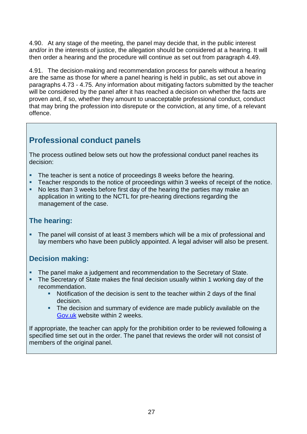4.90. At any stage of the meeting, the panel may decide that, in the public interest and/or in the interests of justice, the allegation should be considered at a hearing. It will then order a hearing and the procedure will continue as set out from paragraph 4.49.

4.91. The decision-making and recommendation process for panels without a hearing are the same as those for where a panel hearing is held in public, as set out above in paragraphs 4.73 - 4.75. Any information about mitigating factors submitted by the teacher will be considered by the panel after it has reached a decision on whether the facts are proven and, if so, whether they amount to unacceptable professional conduct, conduct that may bring the profession into disrepute or the conviction, at any time, of a relevant offence.

## **Professional conduct panels**

The process outlined below sets out how the professional conduct panel reaches its decision:

- The teacher is sent a notice of proceedings 8 weeks before the hearing.
- **Teacher responds to the notice of proceedings within 3 weeks of receipt of the notice.**
- No less than 3 weeks before first day of the hearing the parties may make an application in writing to the NCTL for pre-hearing directions regarding the management of the case.

#### **The hearing:**

 The panel will consist of at least 3 members which will be a mix of professional and lay members who have been publicly appointed. A legal adviser will also be present.

#### **Decision making:**

- The panel make a judgement and recommendation to the Secretary of State.
- The Secretary of State makes the final decision usually within 1 working day of the recommendation.
	- Notification of the decision is sent to the teacher within 2 days of the final decision.
	- The decision and summary of evidence are made publicly available on the [Gov.uk](https://www.gov.uk/government/publications?keywords&publication_filter_option=decisions&topics%5B%5D=schools&departments%5B%5D=national-college-for-teaching-and-leadership&official_document_status=all&world_locations%5B%5D=all) website within 2 weeks.

If appropriate, the teacher can apply for the prohibition order to be reviewed following a specified time set out in the order. The panel that reviews the order will not consist of members of the original panel.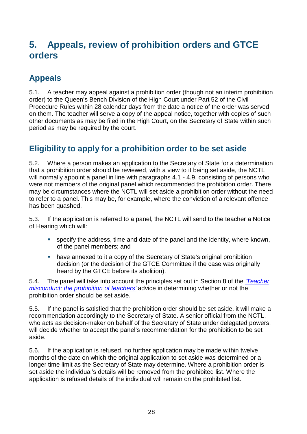# **5. Appeals, review of prohibition orders and GTCE orders**

# **Appeals**

5.1. A teacher may appeal against a prohibition order (though not an interim prohibition order) to the Queen's Bench Division of the High Court under Part 52 of the Civil Procedure Rules within 28 calendar days from the date a notice of the order was served on them. The teacher will serve a copy of the appeal notice, together with copies of such other documents as may be filed in the High Court, on the Secretary of State within such period as may be required by the court.

## **Eligibility to apply for a prohibition order to be set aside**

5.2. Where a person makes an application to the Secretary of State for a determination that a prohibition order should be reviewed, with a view to it being set aside, the NCTL will normally appoint a panel in line with paragraphs 4.1 - 4.9, consisting of persons who were not members of the original panel which recommended the prohibition order. There may be circumstances where the NCTL will set aside a prohibition order without the need to refer to a panel. This may be, for example, where the conviction of a relevant offence has been quashed.

5.3. If the application is referred to a panel, the NCTL will send to the teacher a Notice of Hearing which will:

- specify the address, time and date of the panel and the identity, where known, of the panel members; and
- have annexed to it a copy of the Secretary of State's original prohibition decision (or the decision of the GTCE Committee if the case was originally heard by the GTCE before its abolition).

5.4. The panel will take into account the principles set out in Section 8 of the *['Teacher](https://www.gov.uk/government/publications/teacher-misconduct-the-prohibition-of-teachers--3) misconduct: [the prohibition](https://www.gov.uk/government/publications/teacher-misconduct-the-prohibition-of-teachers--3) of teachers'* advice in determining whether or not the prohibition order should be set aside.

5.5. If the panel is satisfied that the prohibition order should be set aside, it will make a recommendation accordingly to the Secretary of State. A senior official from the NCTL, who acts as decision-maker on behalf of the Secretary of State under delegated powers, will decide whether to accept the panel's recommendation for the prohibition to be set aside.

5.6. If the application is refused, no further application may be made within twelve months of the date on which the original application to set aside was determined or a longer time limit as the Secretary of State may determine. Where a prohibition order is set aside the individual's details will be removed from the prohibited list. Where the application is refused details of the individual will remain on the prohibited list.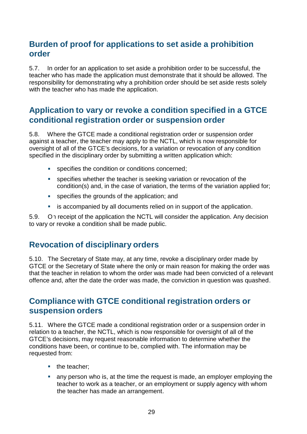#### **Burden of proof for applications to set aside a prohibition order**

5.7. In order for an application to set aside a prohibition order to be successful, the teacher who has made the application must demonstrate that it should be allowed. The responsibility for demonstrating why a prohibition order should be set aside rests solely with the teacher who has made the application.

#### **Application to vary or revoke a condition specified in a GTCE conditional registration order or suspension order**

5.8. Where the GTCE made a conditional registration order or suspension order against a teacher, the teacher may apply to the NCTL, which is now responsible for oversight of all of the GTCE's decisions, for a variation or revocation of any condition specified in the disciplinary order by submitting a written application which:

- **College** specifies the condition or conditions concerned;
- **B** specifies whether the teacher is seeking variation or revocation of the condition(s) and, in the case of variation, the terms of the variation applied for;
- **specifies the grounds of the application; and**
- **EXEDER** is accompanied by all documents relied on in support of the application.

5.9. On receipt of the application the NCTL will consider the application. Any decision to vary or revoke a condition shall be made public.

## **Revocation of disciplinary orders**

5.10. The Secretary of State may, at any time, revoke a disciplinary order made by GTCE or the Secretary of State where the only or main reason for making the order was that the teacher in relation to whom the order was made had been convicted of a relevant offence and, after the date the order was made, the conviction in question was quashed.

#### **Compliance with GTCE conditional registration orders or suspension orders**

5.11. Where the GTCE made a conditional registration order or a suspension order in relation to a teacher, the NCTL, which is now responsible for oversight of all of the GTCE's decisions, may request reasonable information to determine whether the conditions have been, or continue to be, complied with. The information may be requested from:

- the teacher;
- any person who is, at the time the request is made, an employer employing the teacher to work as a teacher, or an employment or supply agency with whom the teacher has made an arrangement.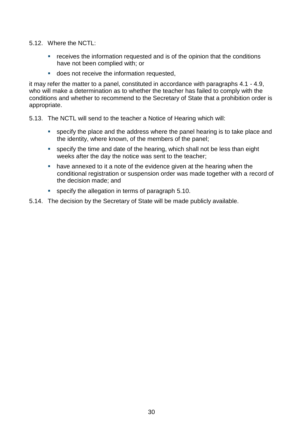- 5.12. Where the NCTL:
	- **•** receives the information requested and is of the opinion that the conditions have not been complied with; or
	- **does not receive the information requested,**

it may refer the matter to a panel, constituted in accordance with paragraphs 4.1 - 4.9, who will make a determination as to whether the teacher has failed to comply with the conditions and whether to recommend to the Secretary of State that a prohibition order is appropriate.

- 5.13. The NCTL will send to the teacher a Notice of Hearing which will:
	- specify the place and the address where the panel hearing is to take place and the identity, where known, of the members of the panel;
	- specify the time and date of the hearing, which shall not be less than eight weeks after the day the notice was sent to the teacher;
	- have annexed to it a note of the evidence given at the hearing when the conditional registration or suspension order was made together with a record of the decision made; and
	- specify the allegation in terms of paragraph 5.10.
- 5.14. The decision by the Secretary of State will be made publicly available.